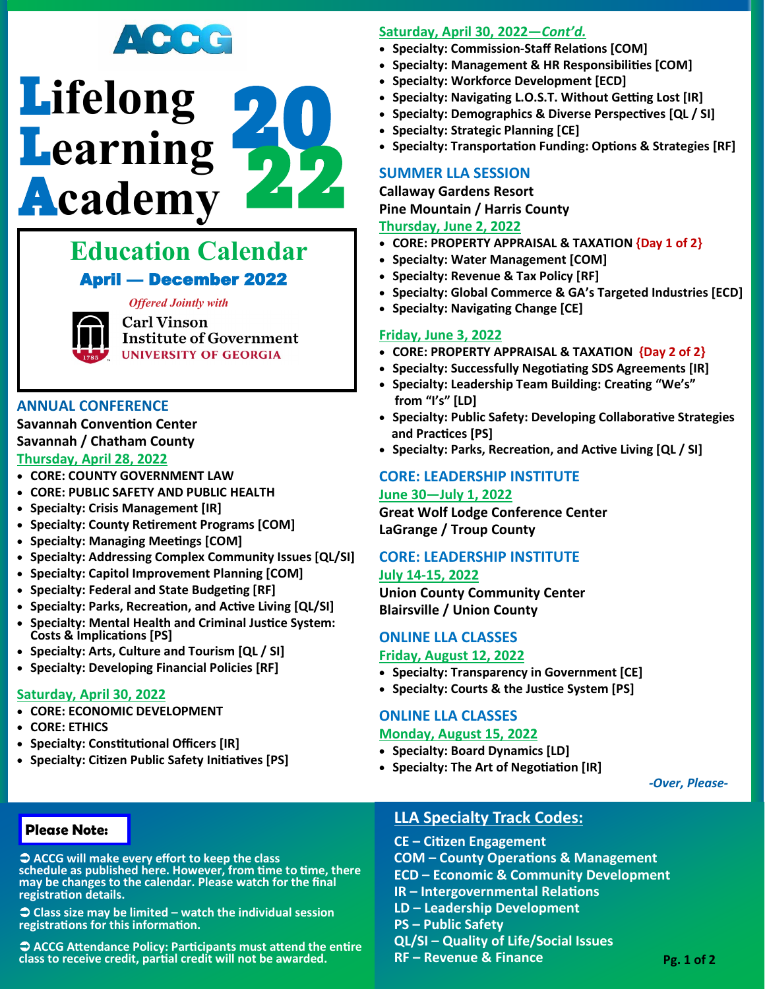



# **Education Calendar** April — December 2022

*Offered Jointly with* 

**Carl Vinson Institute of Government UNIVERSITY OF GEORGIA** 

### **ANNUAL CONFERENCE**

**Savannah Convention Center Savannah / Chatham County**

### **Thursday, April 28, 2022**

- **CORE: COUNTY GOVERNMENT LAW**
- **CORE: PUBLIC SAFETY AND PUBLIC HEALTH**
- **Specialty: Crisis Management [IR]**
- **Specialty: County Retirement Programs [COM]**
- **Specialty: Managing Meetings [COM]**
- **Specialty: Addressing Complex Community Issues [QL/SI]**
- **Specialty: Capitol Improvement Planning [COM]**
- **Specialty: Federal and State Budgeting [RF]**
- **Specialty: Parks, Recreation, and Active Living [QL/SI]**
- **Specialty: Mental Health and Criminal Justice System: Costs & Implications [PS]**
- **Specialty: Arts, Culture and Tourism [QL / SI]**
- **Specialty: Developing Financial Policies [RF]**

## **Saturday, April 30, 2022**

- **CORE: ECONOMIC DEVELOPMENT**
- **CORE: ETHICS**
- **Specialty: Constitutional Officers [IR]**
- **Specialty: Citizen Public Safety Initiatives [PS]**

## **Saturday, April 30, 2022—***Cont'd.*

- **Specialty: Commission-Staff Relations [COM]**
- **Specialty: Management & HR Responsibilities [COM]**
- **Specialty: Workforce Development [ECD]**
- **Specialty: Navigating L.O.S.T. Without Getting Lost [IR]**
- **Specialty: Demographics & Diverse Perspectives [QL / SI]**
- **Specialty: Strategic Planning [CE]**
- **Specialty: Transportation Funding: Options & Strategies [RF]**

## **SUMMER LLA SESSION**

**Callaway Gardens Resort Pine Mountain / Harris County**

## **Thursday, June 2, 2022**

- **CORE: PROPERTY APPRAISAL & TAXATION {Day 1 of 2}**
- **Specialty: Water Management [COM]**
- **Specialty: Revenue & Tax Policy [RF]**
- **Specialty: Global Commerce & GA's Targeted Industries [ECD]**
- **Specialty: Navigating Change [CE]**

### **Friday, June 3, 2022**

- **CORE: PROPERTY APPRAISAL & TAXATION {Day 2 of 2}**
- **Specialty: Successfully Negotiating SDS Agreements [IR]**
- **Specialty: Leadership Team Building: Creating "We's" from "I's" [LD]**
- **Specialty: Public Safety: Developing Collaborative Strategies and Practices [PS]**
- **Specialty: Parks, Recreation, and Active Living [QL / SI]**

## **CORE: LEADERSHIP INSTITUTE**

### **June 30—July 1, 2022**

**Great Wolf Lodge Conference Center LaGrange / Troup County**

## **CORE: LEADERSHIP INSTITUTE**

### **July 14-15, 2022**

**Union County Community Center Blairsville / Union County**

## **ONLINE LLA CLASSES**

### **Friday, August 12, 2022**

- **Specialty: Transparency in Government [CE]**
- **Specialty: Courts & the Justice System [PS]**

# **ONLINE LLA CLASSES**

### **Monday, August 15, 2022**

- **Specialty: Board Dynamics [LD]**
- **Specialty: The Art of Negotiation [IR]**

*-Over, Please-*

## **Please Note:**

 **ACCG will make every effort to keep the class schedule as published here. However, from time to time, there may be changes to the calendar. Please watch for the final registration details.**

 **Class size may be limited – watch the individual session registrations for this information.**

 **ACCG Attendance Policy: Participants must attend the entire class to receive credit, partial credit will not be awarded.**

## **LLA Specialty Track Codes:**

**CE – Citizen Engagement COM – County Operations & Management ECD – Economic & Community Development IR – Intergovernmental Relations LD – Leadership Development PS – Public Safety QL/SI – Quality of Life/Social Issues RF – Revenue & Finance**